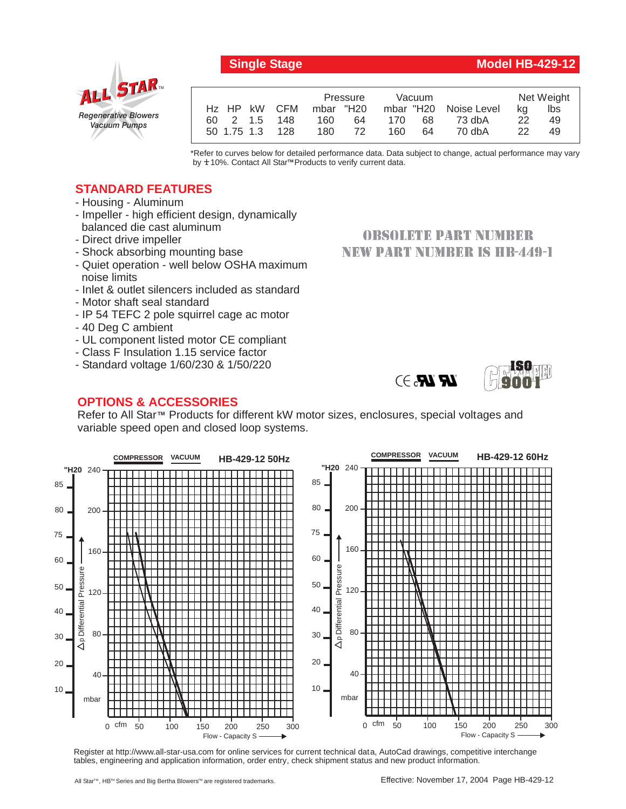# *Regenerative Blowers Vacuum Pumps* ALL STAR

|                 | Pressure   | Vacuum     |                       |    | Net Weight |
|-----------------|------------|------------|-----------------------|----|------------|
| Hz HP kW CFM    | mbar "H20  |            | mbar "H20 Noise Level | ka | lbs        |
| 60 2 1.5 148    | 160.<br>64 | 170<br>68  | 73 dbA                | 22 | 49         |
| 50 1.75 1.3 128 | 180<br>72  | 160.<br>64 | 70 dbA                | 22 | 49         |

\*Refer to curves below for detailed performance data. Data subject to change, actual performance may vary by **+** 10%. Contact All Star™ Products to verify current data.

> **OBSOLETE PART NUMBER NEW PART NUMBER IS HB-449-1**

> > $\bm{R}$   $\bm{R}$   $\rightarrow$   $\rightarrow$

### **STANDARD FEATURES**

- Housing Aluminum
- Impeller high efficient design, dynamically balanced die cast aluminum
- Direct drive impeller
- Shock absorbing mounting base
- Quiet operation well below OSHA maximum noise limits
- Inlet & outlet silencers included as standard
- Motor shaft seal standard
- IP 54 TEFC 2 pole squirrel cage ac motor
- 40 Deg C ambient
- UL component listed motor CE compliant
- Class F Insulation 1.15 service factor
- Standard voltage 1/60/230 & 1/50/220

## **OPTIONS & ACCESSORIES**

Refer to All Star<sup>™</sup> Products for different kW motor sizes, enclosures, special voltages and variable speed open and closed loop systems.



Register at http://www.all-star-usa.com for online services for current technical data, AutoCad drawings, competitive interchange tables, engineering and application information, order entry, check shipment status and new product information.



#### **Single Stage Model HB-429-12**